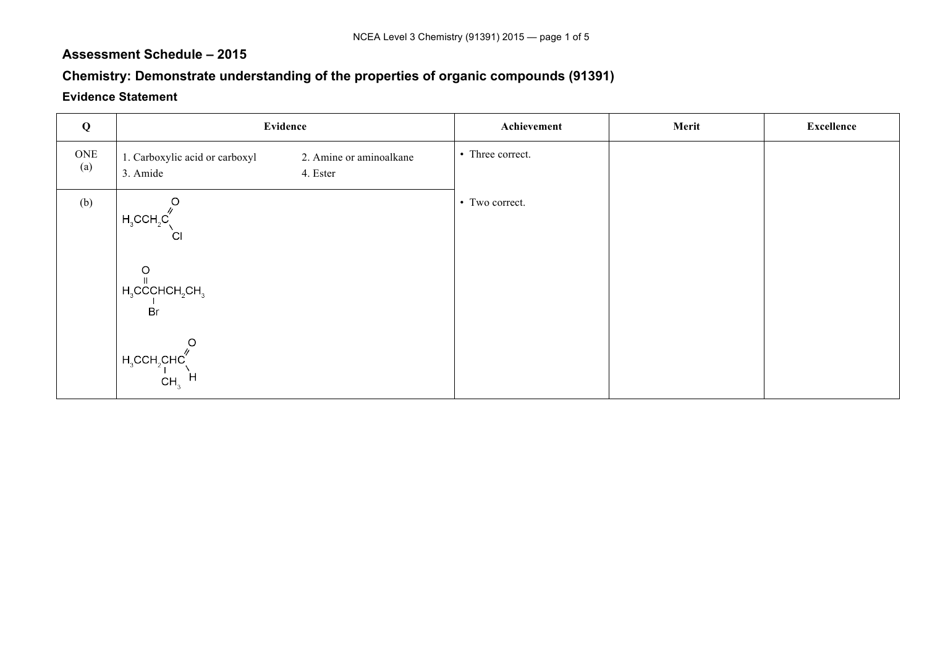## **Assessment Schedule – 2015**

# **Chemistry: Demonstrate understanding of the properties of organic compounds (91391)**

### **Evidence Statement**

| $\bf{Q}$   | Evidence                                                                                                                             | Achievement      | Merit | <b>Excellence</b> |
|------------|--------------------------------------------------------------------------------------------------------------------------------------|------------------|-------|-------------------|
| ONE<br>(a) | 1. Carboxylic acid or carboxyl<br>2. Amine or aminoalkane<br>3. Amide<br>4. Ester                                                    | • Three correct. |       |                   |
| (b)        | $H_3CCH_2C$<br><b>C</b><br>O<br>$H_3$ CCCHCH <sub>2</sub> CH <sub>3</sub><br>Br<br>$H_3$ CCH <sub>2</sub> CHC<br>$CH_3$ <sup>H</sup> | • Two correct.   |       |                   |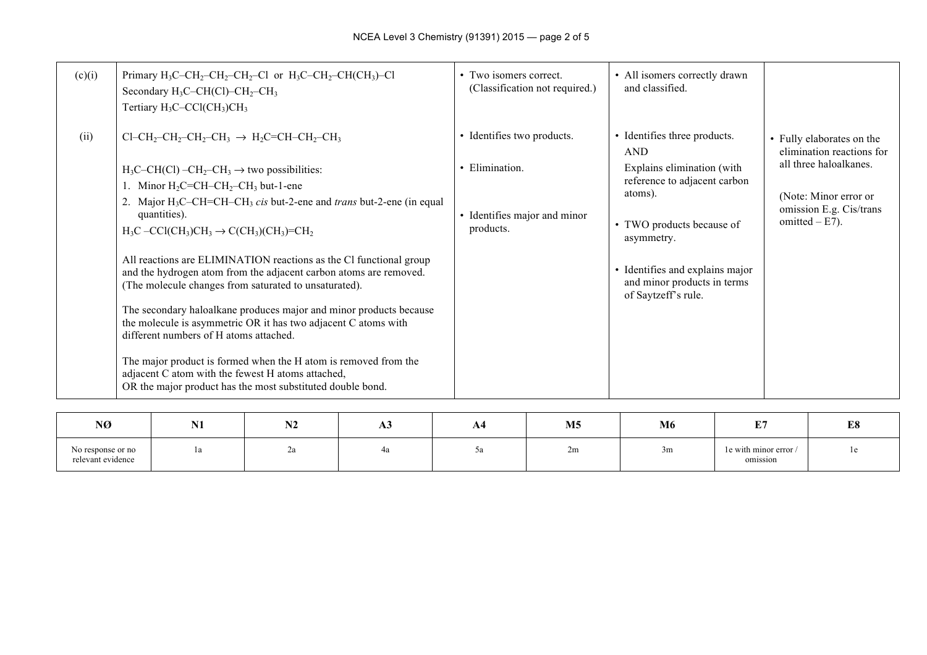| (c)(i) | Primary $H_3C-CH_2-CH_2-CH_2-Cl$ or $H_3C-CH_2-CH(CH_3)-Cl$<br>Secondary $H_3C$ –CH(Cl)–CH <sub>2</sub> –CH <sub>3</sub><br>Tertiary $H_3C-CCI(CH_3)CH_3$                                                                                                                                                                                                                                                                                                                                                                                                                                                                                                                                                                                                                                                                                              | • Two isomers correct.<br>(Classification not required.)                                  | • All isomers correctly drawn<br>and classified.                                                                                                                                                                                                        |                                                                                                                                                           |
|--------|--------------------------------------------------------------------------------------------------------------------------------------------------------------------------------------------------------------------------------------------------------------------------------------------------------------------------------------------------------------------------------------------------------------------------------------------------------------------------------------------------------------------------------------------------------------------------------------------------------------------------------------------------------------------------------------------------------------------------------------------------------------------------------------------------------------------------------------------------------|-------------------------------------------------------------------------------------------|---------------------------------------------------------------------------------------------------------------------------------------------------------------------------------------------------------------------------------------------------------|-----------------------------------------------------------------------------------------------------------------------------------------------------------|
| (ii)   | $Cl-CH_2-CH_2-CH_2-CH_3 \rightarrow H_2C=CH-CH_2-CH_3$<br>$H_3C-CH(Cl) - CH_2-CH_3 \rightarrow two possibilities:$<br>1. Minor $H_2C=CH-CH_2-CH_3$ but-1-ene<br>2. Major $H_3C$ –CH=CH–CH <sub>3</sub> cis but-2-ene and <i>trans</i> but-2-ene (in equal<br>quantities).<br>$H_3C$ –CCl(CH <sub>3</sub> )CH <sub>3</sub> $\rightarrow$ C(CH <sub>3</sub> )(CH <sub>3</sub> )=CH <sub>2</sub><br>All reactions are ELIMINATION reactions as the Cl functional group<br>and the hydrogen atom from the adjacent carbon atoms are removed.<br>(The molecule changes from saturated to unsaturated).<br>The secondary haloalkane produces major and minor products because<br>the molecule is asymmetric OR it has two adjacent C atoms with<br>different numbers of H atoms attached.<br>The major product is formed when the H atom is removed from the | • Identifies two products.<br>• Elimination.<br>• Identifies major and minor<br>products. | • Identifies three products.<br><b>AND</b><br>Explains elimination (with<br>reference to adjacent carbon<br>atoms).<br>• TWO products because of<br>asymmetry.<br>• Identifies and explains major<br>and minor products in terms<br>of Saytzeff's rule. | • Fully elaborates on the<br>elimination reactions for<br>all three haloalkanes.<br>(Note: Minor error or<br>omission E.g. Cis/trans<br>omitted $- E7$ ). |
|        | adjacent C atom with the fewest H atoms attached,<br>OR the major product has the most substituted double bond.                                                                                                                                                                                                                                                                                                                                                                                                                                                                                                                                                                                                                                                                                                                                        |                                                                                           |                                                                                                                                                                                                                                                         |                                                                                                                                                           |

| NØ                                     | <b>BT4</b><br>14 T | <b>BIA</b><br>L 4 A | АJ | А4 | M <sub>5</sub> | M <sub>6</sub> | $\sim$                                      | <b>DO</b><br>ĿΟ |
|----------------------------------------|--------------------|---------------------|----|----|----------------|----------------|---------------------------------------------|-----------------|
| No response or no<br>relevant evidence |                    | ∠a                  |    | ∼u | 2m             | 3m             | $\sim$<br>le with minor error /<br>omission |                 |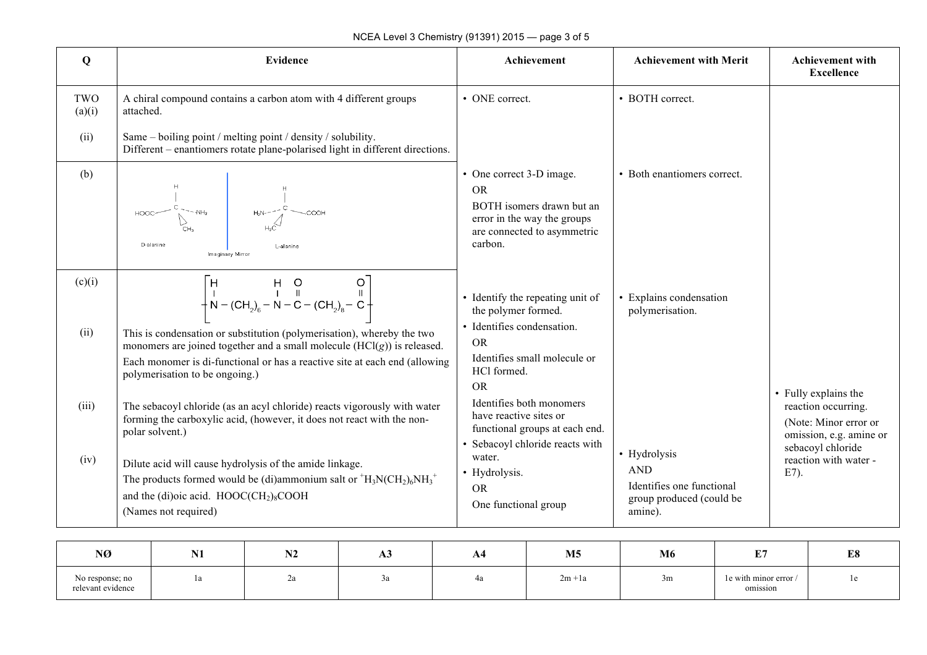#### NCEA Level 3 Chemistry (91391) 2015 — page 3 of 5

| Q              | <b>Evidence</b>                                                                                                                                                                                                                                                                                                                                                                | Achievement                                                                                                                                                    | <b>Achievement with Merit</b>                                                                  | <b>Achievement with</b><br><b>Excellence</b>                                                                         |
|----------------|--------------------------------------------------------------------------------------------------------------------------------------------------------------------------------------------------------------------------------------------------------------------------------------------------------------------------------------------------------------------------------|----------------------------------------------------------------------------------------------------------------------------------------------------------------|------------------------------------------------------------------------------------------------|----------------------------------------------------------------------------------------------------------------------|
| TWO<br>(a)(i)  | A chiral compound contains a carbon atom with 4 different groups<br>attached.                                                                                                                                                                                                                                                                                                  | • ONE correct.                                                                                                                                                 | • BOTH correct.                                                                                |                                                                                                                      |
| (ii)           | Same – boiling point / melting point / density / solubility.<br>Different - enantiomers rotate plane-polarised light in different directions.                                                                                                                                                                                                                                  |                                                                                                                                                                |                                                                                                |                                                                                                                      |
| (b)            | HOOC<br>D-alanine<br>L-alanine<br>Imaginary Mirror                                                                                                                                                                                                                                                                                                                             | • One correct 3-D image.<br><b>OR</b><br>BOTH isomers drawn but an<br>error in the way the groups<br>are connected to asymmetric<br>carbon.                    | • Both enantiomers correct.                                                                    |                                                                                                                      |
| (c)(i)<br>(ii) | $\begin{bmatrix} H & H & O & O \\ I & I & II & II \\ N - (CH_2)_6 - N - C - (CH_2)_8 - C \end{bmatrix}$<br>This is condensation or substitution (polymerisation), whereby the two<br>monomers are joined together and a small molecule $(HCl(g))$ is released.<br>Each monomer is di-functional or has a reactive site at each end (allowing<br>polymerisation to be ongoing.) | • Identify the repeating unit of<br>the polymer formed.<br>• Identifies condensation.<br><b>OR</b><br>Identifies small molecule or<br>HCl formed.<br><b>OR</b> | • Explains condensation<br>polymerisation.                                                     |                                                                                                                      |
| (iii)          | The sebacoyl chloride (as an acyl chloride) reacts vigorously with water<br>forming the carboxylic acid, (however, it does not react with the non-<br>polar solvent.)                                                                                                                                                                                                          | Identifies both monomers<br>have reactive sites or<br>functional groups at each end.<br>· Sebacoyl chloride reacts with                                        |                                                                                                | • Fully explains the<br>reaction occurring.<br>(Note: Minor error or<br>omission, e.g. amine or<br>sebacoyl chloride |
| (iv)           | Dilute acid will cause hydrolysis of the amide linkage.<br>The products formed would be (di)ammonium salt or $H_3N(CH_2)_6NH_3^+$<br>and the (di)oic acid. $HOOC(CH2)8 COOH$<br>(Names not required)                                                                                                                                                                           | water.<br>• Hydrolysis.<br><b>OR</b><br>One functional group                                                                                                   | • Hydrolysis<br><b>AND</b><br>Identifies one functional<br>group produced (could be<br>amine). | reaction with water -<br>$E7$ ).                                                                                     |

| NØ                                   | <b>NT4</b><br>IV L | N <sub>2</sub> | ${\bf A}$ | A4 | M <sub>5</sub> | M <sub>6</sub>      | <b>DA</b><br>.,                   | <b>DO</b><br>ĽО |
|--------------------------------------|--------------------|----------------|-----------|----|----------------|---------------------|-----------------------------------|-----------------|
| No response; no<br>relevant evidence | 1 a                | ∠a             |           | 4a | $2m + 1a$      | $\sim$ $\sim$<br>3m | le with minor error /<br>omission |                 |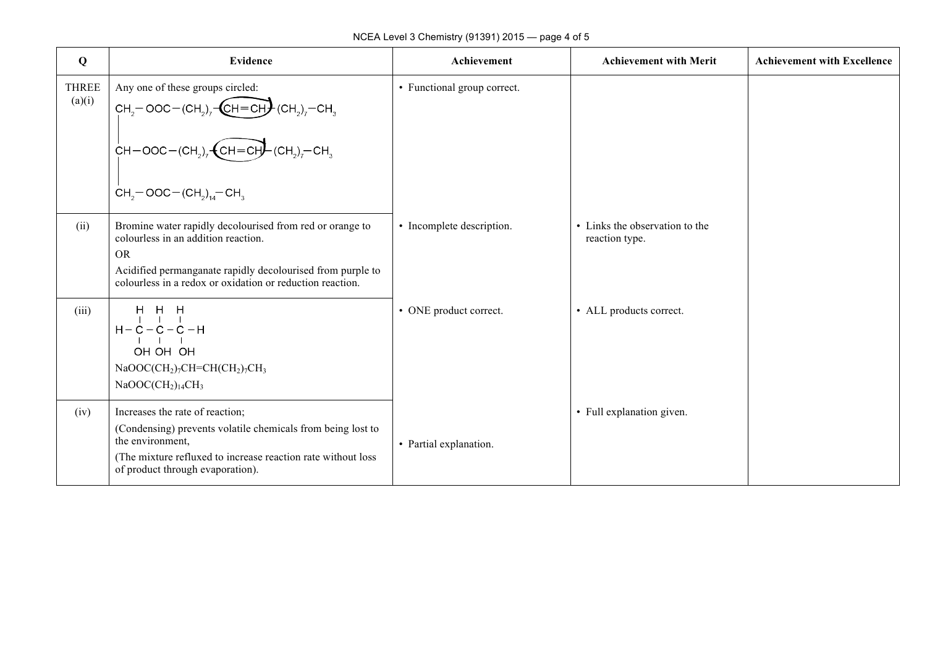#### NCEA Level 3 Chemistry (91391) 2015 — page 4 of 5

| Q                      | <b>Evidence</b>                                                                                                                                                                                                                                                                                                                                   | Achievement                 | <b>Achievement with Merit</b>                    | <b>Achievement with Excellence</b> |
|------------------------|---------------------------------------------------------------------------------------------------------------------------------------------------------------------------------------------------------------------------------------------------------------------------------------------------------------------------------------------------|-----------------------------|--------------------------------------------------|------------------------------------|
| <b>THREE</b><br>(a)(i) | Any one of these groups circled:<br>CH <sub>2</sub> -OOC-(CH <sub>2</sub> ) <sub>7</sub> -CH=CH <sup>2</sup> (CH <sub>2</sub> ) <sub>7</sub> -CH <sub>3</sub><br>CH-OOC-(CH <sub>2</sub> ) <sub>7</sub> -CH=CH <sup>2</sup> (CH <sub>2</sub> ) <sub>7</sub> -CH <sub>3</sub><br>$CH_2$ – OOC – (CH <sub>2</sub> ) <sub>14</sub> – CH <sub>3</sub> | • Functional group correct. |                                                  |                                    |
| (ii)                   | Bromine water rapidly decolourised from red or orange to<br>colourless in an addition reaction.<br><b>OR</b><br>Acidified permanganate rapidly decolourised from purple to<br>colourless in a redox or oxidation or reduction reaction.                                                                                                           | • Incomplete description.   | • Links the observation to the<br>reaction type. |                                    |
| (iii)                  | H H H<br>$H - C - C - C - H$<br>OH OH OH<br>NaOOC(CH <sub>2</sub> ) <sub>7</sub> CH=CH(CH <sub>2</sub> ) <sub>7</sub> CH <sub>3</sub><br>$NaOOC(CH2)14CH3$                                                                                                                                                                                        | • ONE product correct.      | • ALL products correct.                          |                                    |
| (iv)                   | Increases the rate of reaction;<br>(Condensing) prevents volatile chemicals from being lost to<br>the environment,<br>(The mixture refluxed to increase reaction rate without loss)<br>of product through evaporation).                                                                                                                           | • Partial explanation.      | • Full explanation given.                        |                                    |